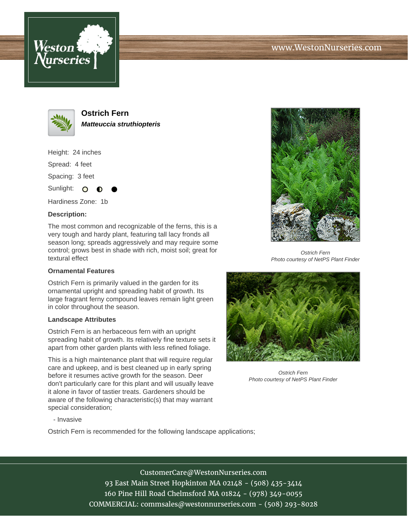





**Ostrich Fern Matteuccia struthiopteris**

Height: 24 inches Spread: 4 feet

Spacing: 3 feet

Sunlight:  $\circ$ 

Hardiness Zone: 1b

## **Description:**

The most common and recognizable of the ferns, this is a very tough and hardy plant, featuring tall lacy fronds all season long; spreads aggressively and may require some control; grows best in shade with rich, moist soil; great for textural effect

## **Ornamental Features**

Ostrich Fern is primarily valued in the garden for its ornamental upright and spreading habit of growth. Its large fragrant ferny compound leaves remain light green in color throughout the season.

## **Landscape Attributes**

Ostrich Fern is an herbaceous fern with an upright spreading habit of growth. Its relatively fine texture sets it apart from other garden plants with less refined foliage.

This is a high maintenance plant that will require regular care and upkeep, and is best cleaned up in early spring before it resumes active growth for the season. Deer don't particularly care for this plant and will usually leave it alone in favor of tastier treats. Gardeners should be aware of the following characteristic(s) that may warrant special consideration;



Ostrich Fern Photo courtesy of NetPS Plant Finder



Ostrich Fern Photo courtesy of NetPS Plant Finder

- Invasive

Ostrich Fern is recommended for the following landscape applications;

CustomerCare@WestonNurseries.com 93 East Main Street Hopkinton MA 02148 - (508) 435-3414 160 Pine Hill Road Chelmsford MA 01824 - (978) 349-0055 COMMERCIAL: commsales@westonnurseries.com - (508) 293-8028